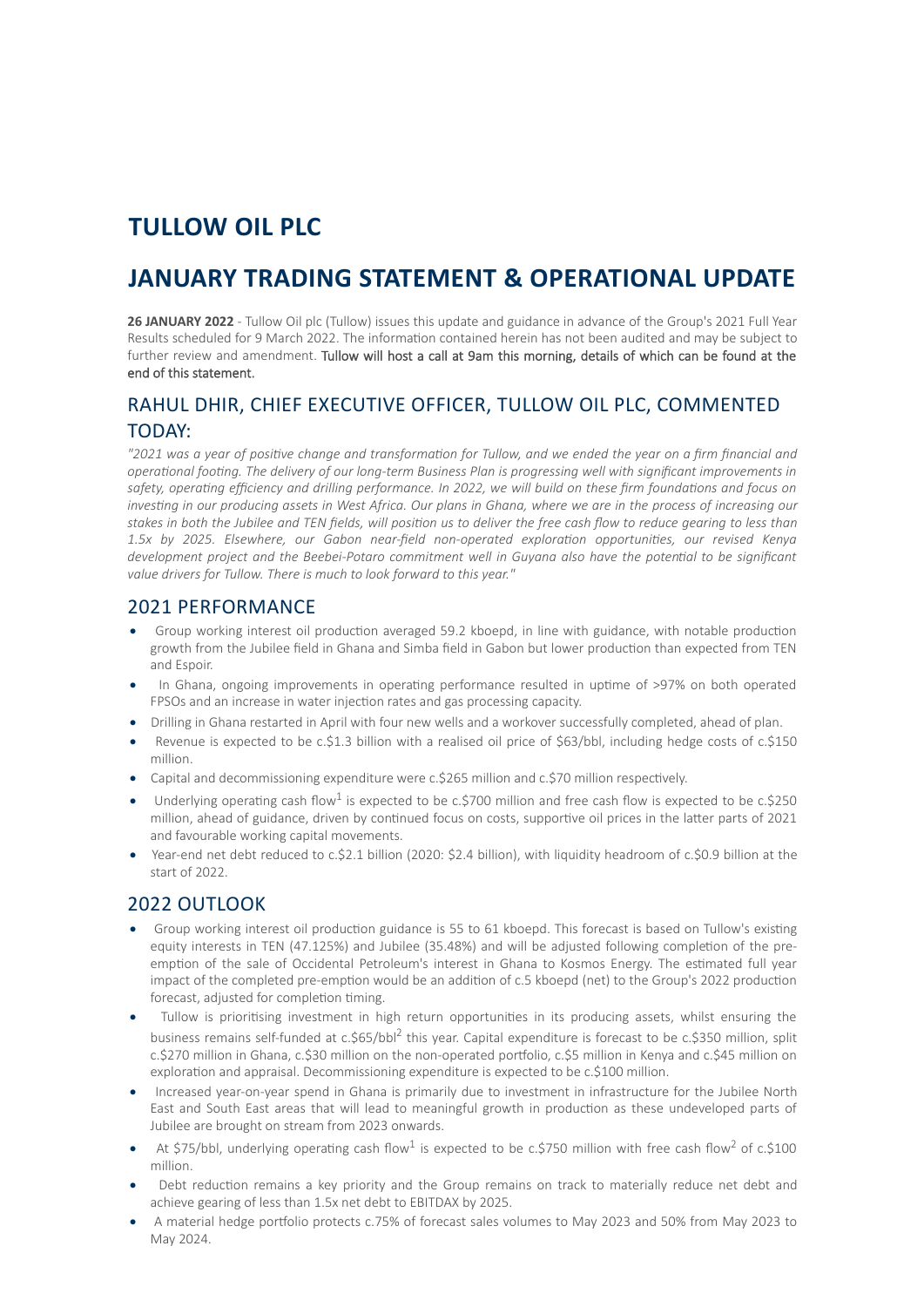# **TULLOW OIL PLC**

# **JANUARY TRADING STATEMENT & OPERATIONAL UPDATE**

**26 JANUARY 2022** - Tullow Oil plc (Tullow) issues this update and guidance in advance of the Group's 2021 Full Year Results scheduled for 9 March 2022. The information contained herein has not been audited and may be subject to further review and amendment. Tullow will host a call at 9am this morning, details of which can be found at the end of this statement.

## RAHUL DHIR, CHIEF EXECUTIVE OFFICER, TULLOW OIL PLC, COMMENTED TODAY:

*"2021 was a year of positive change and transformation for Tullow, and we ended the year on a firm financial and operational footing. The delivery of our long-term Business Plan is progressing well with significant improvements in safety, operating efficiency and drilling performance. In 2022, we will build on these firm foundations and focus on investing in our producing assets in West Africa. Our plans in Ghana, where we are in the process of increasing our stakes in both the Jubilee and TEN fields, will position us to deliver the free cash flow to reduce gearing to less than 1.5x by 2025. Elsewhere, our Gabon near-field non-operated exploration opportunities, our revised Kenya development project and the Beebei-Potaro commitment well in Guyana also have the potential to be significant value drivers for Tullow. There is much to look forward to this year."*

### 2021 PERFORMANCE

- · Group working interest oil production averaged 59.2 kboepd, in line with guidance, with notable production growth from the Jubilee field in Ghana and Simba field in Gabon but lower production than expected from TEN and Espoir.
- In Ghana, ongoing improvements in operating performance resulted in uptime of >97% on both operated FPSOs and an increase in water injection rates and gas processing capacity.
- · Drilling in Ghana restarted in April with four new wells and a workover successfully completed, ahead of plan.
- · Revenue is expected to be c.\$1.3 billion with a realised oil price of \$63/bbl, including hedge costs of c.\$150 million.
- Capital and decommissioning expenditure were c.\$265 million and c.\$70 million respectively.
- Underlying operating cash flow<sup>1</sup> is expected to be c.\$700 million and free cash flow is expected to be c.\$250 million, ahead of guidance, driven by continued focus on costs, supportive oil prices in the latter parts of 2021 and favourable working capital movements.
- · Year-end net debt reduced to c.\$2.1 billion (2020: \$2.4 billion), with liquidity headroom of c.\$0.9 billion at the start of 2022.

## 2022 OUTLOOK

- · Group working interest oil production guidance is 55 to 61 kboepd. This forecast is based on Tullow's existing equity interests in TEN (47.125%) and Jubilee (35.48%) and will be adjusted following completion of the preemption of the sale of Occidental Petroleum's interest in Ghana to Kosmos Energy. The estimated full year impact of the completed pre-emption would be an addition of c.5 kboepd (net) to the Group's 2022 production forecast, adjusted for completion timing.
- Tullow is prioritising investment in high return opportunities in its producing assets, whilst ensuring the business remains self-funded at c.\$65/bbl<sup>2</sup> this year. Capital expenditure is forecast to be c.\$350 million, split c.\$270 million in Ghana, c.\$30 million on the non-operated portfolio, c.\$5 million in Kenya and c.\$45 million on exploration and appraisal. Decommissioning expenditure is expected to be c.\$100 million.
- · Increased year-on-year spend in Ghana is primarily due to investment in infrastructure for the Jubilee North East and South East areas that will lead to meaningful growth in production as these undeveloped parts of Jubilee are brought on stream from 2023 onwards.
- At \$75/bbl, underlying operating cash flow<sup>1</sup> is expected to be c.\$750 million with free cash flow<sup>2</sup> of c.\$100 million.
- Debt reduction remains a key priority and the Group remains on track to materially reduce net debt and achieve gearing of less than 1.5x net debt to EBITDAX by 2025.
- · A material hedge portfolio protects c.75% of forecast sales volumes to May 2023 and 50% from May 2023 to May 2024.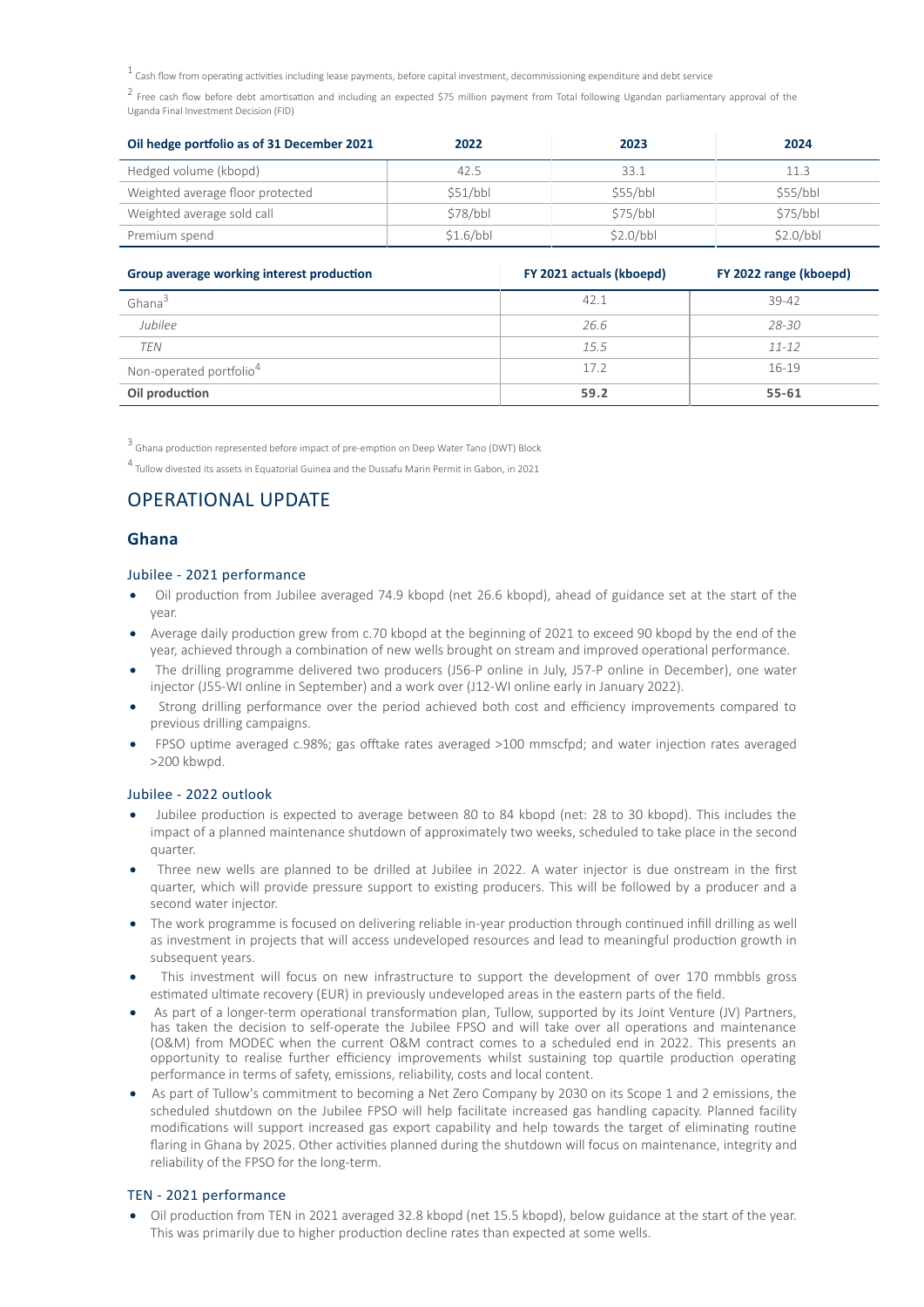$1$  Cash flow from operating activities including lease payments, before capital investment, decommissioning expenditure and debt service

<sup>2</sup> Free cash flow before debt amortisation and including an expected \$75 million payment from Total following Ugandan parliamentary approval of the Uganda Final Investment Decision (FID)

| Oil hedge portfolio as of 31 December 2021 | 2022      | 2023     | 2024     |
|--------------------------------------------|-----------|----------|----------|
| Hedged volume (kbopd)                      | 42.5      | 33.1     | 11.3     |
| Weighted average floor protected           | \$51/bbl  | \$55/bb  | \$55/bb  |
| Weighted average sold call                 | \$78/bbl  | \$75/bbl | S75/bbl  |
| Premium spend                              | \$1.6/bbl | S2.0/bbl | S2.0/bbl |

| Group average working interest production | FY 2021 actuals (kboepd) | FY 2022 range (kboepd) |
|-------------------------------------------|--------------------------|------------------------|
| Ghana <sup>3</sup>                        | 42.1                     | 39-42                  |
| Jubilee                                   | 26.6                     | 28-30                  |
| <b>TEN</b>                                | 15.5                     | $11 - 12$              |
| Non-operated portfolio <sup>4</sup>       | 17.2                     | $16 - 19$              |
| Oil production                            | 59.2                     | $55 - 61$              |

<sup>3</sup> Ghana production represented before impact of pre-emption on Deep Water Tano (DWT) Block

4 Tullow divested its assets in Equatorial Guinea and the Dussafu Marin Permit in Gabon, in 2021

## OPERATIONAL UPDATE

#### **Ghana**

#### Jubilee - 2021 performance

- · Oil production from Jubilee averaged 74.9 kbopd (net 26.6 kbopd), ahead of guidance set at the start of the year.
- Average daily production grew from c.70 kbopd at the beginning of 2021 to exceed 90 kbopd by the end of the year, achieved through a combination of new wells brought on stream and improved operational performance.
- The drilling programme delivered two producers (J56-P online in July, J57-P online in December), one water injector (J55-WI online in September) and a work over (J12-WI online early in January 2022).
- Strong drilling performance over the period achieved both cost and efficiency improvements compared to previous drilling campaigns.
- · FPSO uptime averaged c.98%; gas offtake rates averaged >100 mmscfpd; and water injection rates averaged >200 kbwpd.

#### Jubilee - 2022 outlook

- · Jubilee production is expected to average between 80 to 84 kbopd (net: 28 to 30 kbopd). This includes the impact of a planned maintenance shutdown of approximately two weeks, scheduled to take place in the second quarter.
- Three new wells are planned to be drilled at Jubilee in 2022. A water injector is due onstream in the first quarter, which will provide pressure support to existing producers. This will be followed by a producer and a second water injector.
- · The work programme is focused on delivering reliable in-year production through continued infill drilling as well as investment in projects that will access undeveloped resources and lead to meaningful production growth in subsequent years.
- This investment will focus on new infrastructure to support the development of over 170 mmbbls gross estimated ultimate recovery (EUR) in previously undeveloped areas in the eastern parts of the field.
- · As part of a longer-term operational transformation plan, Tullow, supported by its Joint Venture (JV) Partners, has taken the decision to self-operate the Jubilee FPSO and will take over all operations and maintenance (O&M) from MODEC when the current O&M contract comes to a scheduled end in 2022. This presents an opportunity to realise further efficiency improvements whilst sustaining top quartile production operating performance in terms of safety, emissions, reliability, costs and local content.
- As part of Tullow's commitment to becoming a Net Zero Company by 2030 on its Scope 1 and 2 emissions, the scheduled shutdown on the Jubilee FPSO will help facilitate increased gas handling capacity. Planned facility modifications will support increased gas export capability and help towards the target of eliminating routine flaring in Ghana by 2025. Other activities planned during the shutdown will focus on maintenance, integrity and reliability of the FPSO for the long-term.

#### TEN - 2021 performance

· Oil production from TEN in 2021 averaged 32.8 kbopd (net 15.5 kbopd), below guidance at the start of the year. This was primarily due to higher production decline rates than expected at some wells.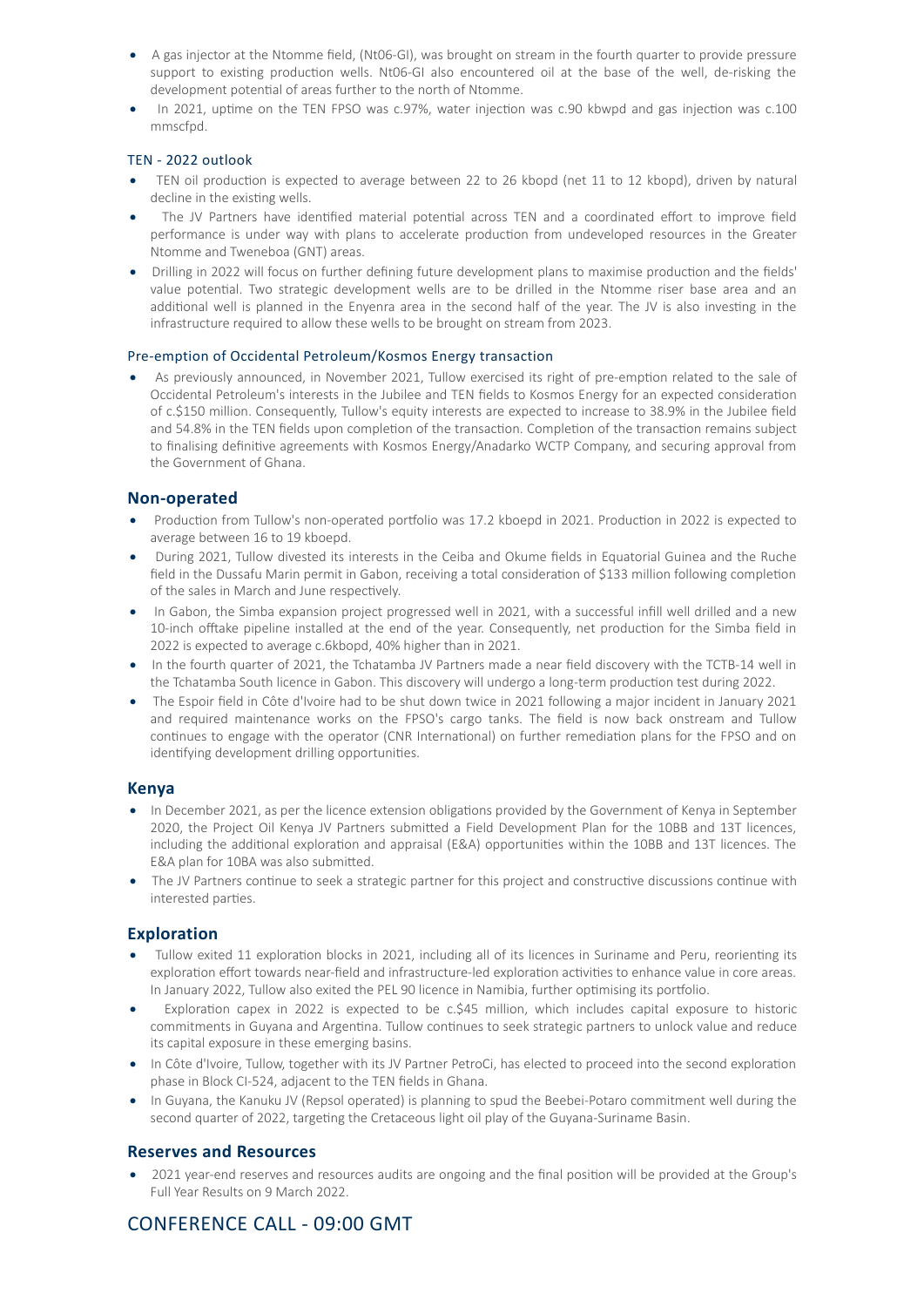- · A gas injector at the Ntomme field, (Nt06-GI), was brought on stream in the fourth quarter to provide pressure support to existing production wells. Nt06-GI also encountered oil at the base of the well, de-risking the development potential of areas further to the north of Ntomme.
- · In 2021, uptime on the TEN FPSO was c.97%, water injection was c.90 kbwpd and gas injection was c.100 mmscfpd.

#### TEN - 2022 outlook

- TEN oil production is expected to average between 22 to 26 kbopd (net 11 to 12 kbopd), driven by natural decline in the existing wells.
- The JV Partners have identified material potential across TEN and a coordinated effort to improve field performance is under way with plans to accelerate production from undeveloped resources in the Greater Ntomme and Tweneboa (GNT) areas.
- · Drilling in 2022 will focus on further defining future development plans to maximise production and the fields' value potential. Two strategic development wells are to be drilled in the Ntomme riser base area and an additional well is planned in the Enyenra area in the second half of the year. The JV is also investing in the infrastructure required to allow these wells to be brought on stream from 2023.

#### Pre-emption of Occidental Petroleum/Kosmos Energy transaction

As previously announced, in November 2021, Tullow exercised its right of pre-emption related to the sale of Occidental Petroleum's interests in the Jubilee and TEN fields to Kosmos Energy for an expected consideration of c.\$150 million. Consequently, Tullow's equity interests are expected to increase to 38.9% in the Jubilee field and 54.8% in the TEN fields upon completion of the transaction. Completion of the transaction remains subject to finalising definitive agreements with Kosmos Energy/Anadarko WCTP Company, and securing approval from the Government of Ghana.

#### **Non-operated**

- · Production from Tullow's non-operated portfolio was 17.2 kboepd in 2021. Production in 2022 is expected to average between 16 to 19 kboepd.
- · During 2021, Tullow divested its interests in the Ceiba and Okume fields in Equatorial Guinea and the Ruche field in the Dussafu Marin permit in Gabon, receiving a total consideration of \$133 million following completion of the sales in March and June respectively.
- · In Gabon, the Simba expansion project progressed well in 2021, with a successful infill well drilled and a new 10-inch offtake pipeline installed at the end of the year. Consequently, net production for the Simba field in 2022 is expected to average c.6kbopd, 40% higher than in 2021.
- · In the fourth quarter of 2021, the Tchatamba JV Partners made a near field discovery with the TCTB-14 well in the Tchatamba South licence in Gabon. This discovery will undergo a long-term production test during 2022.
- · The Espoir field in Côte d'Ivoire had to be shut down twice in 2021 following a major incident in January 2021 and required maintenance works on the FPSO's cargo tanks. The field is now back onstream and Tullow continues to engage with the operator (CNR International) on further remediation plans for the FPSO and on identifying development drilling opportunities.

#### **Kenya**

- · In December 2021, as per the licence extension obligations provided by the Government of Kenya in September 2020, the Project Oil Kenya JV Partners submitted a Field Development Plan for the 10BB and 13T licences, including the additional exploration and appraisal (E&A) opportunities within the 10BB and 13T licences. The E&A plan for 10BA was also submitted.
- The JV Partners continue to seek a strategic partner for this project and constructive discussions continue with interested parties.

#### **Exploration**

- · Tullow exited 11 exploration blocks in 2021, including all of its licences in Suriname and Peru, reorienting its exploration effort towards near-field and infrastructure-led exploration activities to enhance value in core areas. In January 2022, Tullow also exited the PEL 90 licence in Namibia, further optimising its portfolio.
- Exploration capex in 2022 is expected to be c.\$45 million, which includes capital exposure to historic commitments in Guyana and Argentina. Tullow continues to seek strategic partners to unlock value and reduce its capital exposure in these emerging basins.
- · In Côte d'Ivoire, Tullow, together with its JV Partner PetroCi, has elected to proceed into the second exploration phase in Block CI-524, adjacent to the TEN fields in Ghana.
- · In Guyana, the Kanuku JV (Repsol operated) is planning to spud the Beebei-Potaro commitment well during the second quarter of 2022, targeting the Cretaceous light oil play of the Guyana-Suriname Basin.

#### **Reserves and Resources**

· 2021 year-end reserves and resources audits are ongoing and the final position will be provided at the Group's Full Year Results on 9 March 2022.

## CONFERENCE CALL - 09:00 GMT